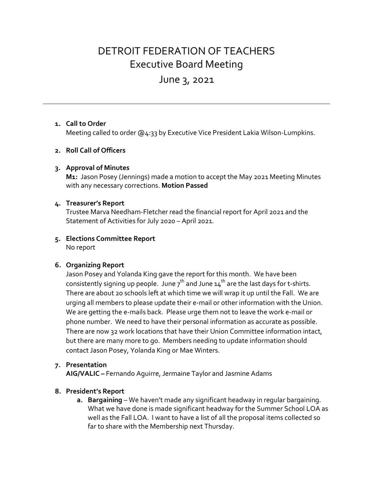# DETROIT FEDERATION OF TEACHERS Executive Board Meeting

# June 3, 2021

## **1. Call to Order**

Meeting called to order @4:33 by Executive Vice President Lakia Wilson-Lumpkins.

## **2. Roll Call of Officers**

#### **3. Approval of Minutes**

**M1:** Jason Posey (Jennings) made a motion to accept the May 2021 Meeting Minutes with any necessary corrections. **Motion Passed**

#### **4. Treasurer's Report**

Trustee Marva Needham-Fletcher read the financial report for April 2021 and the Statement of Activities for July 2020 – April 2021.

#### **5. Elections Committee Report** No report

#### **6. Organizing Report**

Jason Posey and Yolanda King gave the report for this month. We have been consistently signing up people. June  $7^{th}$  and June  $14^{th}$  are the last days for t-shirts. There are about 20 schools left at which time we will wrap it up until the Fall. We are urging all members to please update their e-mail or other information with the Union. We are getting the e-mails back. Please urge them not to leave the work e-mail or phone number. We need to have their personal information as accurate as possible. There are now 32 work locations that have their Union Committee information intact, but there are many more to go. Members needing to update information should contact Jason Posey, Yolanda King or Mae Winters.

#### **7. Presentation**

**AIG/VALIC –** Fernando Aguirre, Jermaine Taylor and Jasmine Adams

#### **8. President's Report**

**a. Bargaining** – We haven't made any significant headway in regular bargaining. What we have done is made significant headway for the Summer School LOA as well as the Fall LOA. I want to have a list of all the proposal items collected so far to share with the Membership next Thursday.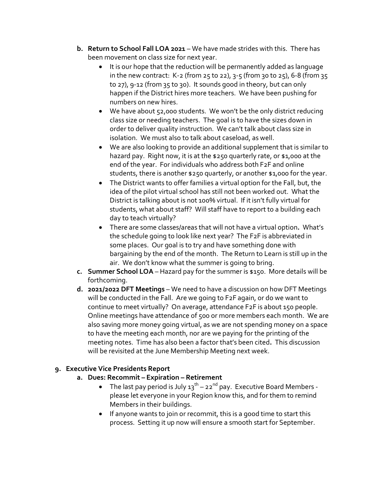- **b. Return to School Fall LOA 2021** We have made strides with this. There has been movement on class size for next year.
	- It is our hope that the reduction will be permanently added as language in the new contract: K-2 (from 25 to 22), 3-5 (from 30 to 25), 6-8 (from 35 to 27), 9-12 (from 35 to 30). It sounds good in theory, but can only happen if the District hires more teachers. We have been pushing for numbers on new hires.
	- We have about 52,000 students. We won't be the only district reducing class size or needing teachers. The goal is to have the sizes down in order to deliver quality instruction. We can't talk about class size in isolation. We must also to talk about caseload, as well.
	- We are also looking to provide an additional supplement that is similar to hazard pay. Right now, it is at the \$250 quarterly rate, or \$1,000 at the end of the year. For individuals who address both F2F and online students, there is another \$250 quarterly, or another \$1,000 for the year.
	- The District wants to offer families a virtual option for the Fall, but, the idea of the pilot virtual school has still not been worked out. What the District is talking about is not 100% virtual. If it isn't fully virtual for students, what about staff? Will staff have to report to a building each day to teach virtually?
	- There are some classes/areas that will not have a virtual option**.** What's the schedule going to look like next year? The F2F is abbreviated in some places. Our goal is to try and have something done with bargaining by the end of the month. The Return to Learn is still up in the air. We don't know what the summer is going to bring.
- **c. Summer School LOA** Hazard pay for the summer is \$150. More details will be forthcoming.
- **d. 2021/2022 DFT Meetings** We need to have a discussion on how DFT Meetings will be conducted in the Fall. Are we going to F2F again, or do we want to continue to meet virtually? On average, attendance F2F is about 150 people. Online meetings have attendance of 500 or more members each month. We are also saving more money going virtual, as we are not spending money on a space to have the meeting each month, nor are we paying for the printing of the meeting notes. Time has also been a factor that's been cited**.** This discussion will be revisited at the June Membership Meeting next week.

# **9. Executive Vice Presidents Report**

- **a. Dues: Recommit – Expiration – Retirement**
	- The last pay period is July  $13^{th}$  22<sup>nd</sup> pay. Executive Board Members please let everyone in your Region know this, and for them to remind Members in their buildings.
	- If anyone wants to join or recommit, this is a good time to start this process. Setting it up now will ensure a smooth start for September.